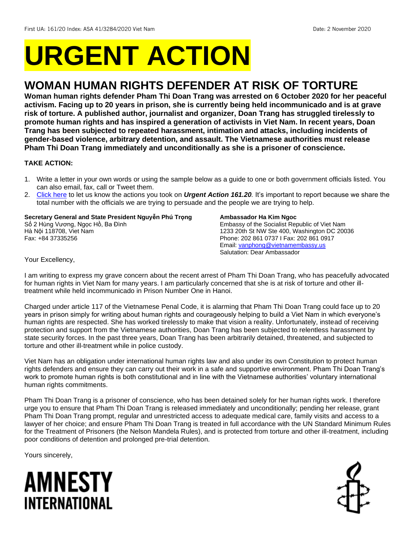# **URGENT ACTION**

## **WOMAN HUMAN RIGHTS DEFENDER AT RISK OF TORTURE**

**Woman human rights defender Pham Thi Doan Trang was arrested on 6 October 2020 for her peaceful activism. Facing up to 20 years in prison, she is currently being held incommunicado and is at grave risk of torture. A published author, journalist and organizer, Doan Trang has struggled tirelessly to promote human rights and has inspired a generation of activists in Viet Nam. In recent years, Doan Trang has been subjected to repeated harassment, intimation and attacks, including incidents of gender-based violence, arbitrary detention, and assault. The Vietnamese authorities must release Pham Thi Doan Trang immediately and unconditionally as she is a prisoner of conscience.** 

## **TAKE ACTION:**

- 1. Write a letter in your own words or using the sample below as a guide to one or both government officials listed. You can also email, fax, call or Tweet them.
- 2. [Click here](https://www.amnestyusa.org/report-urgent-actions/) to let us know the actions you took on *Urgent Action 161.20.* It's important to report because we share the total number with the officials we are trying to persuade and the people we are trying to help.

**Secretary General and State President Nguyễn Phú Trọng** Số 2 Hùng Vương, Ngọc Hồ, Ba Đình Hà Nội 118708, Viet Nam Fax: [+84 37335256](https://www.google.com/search?q=dia+chi+phu+chu+tich&rlz=1C1GCEA_enTH914TH914&oq=dia+chi+phu+chu+tich+&aqs=chrome..69i57j0l7.5195j0j1&sourceid=chrome&ie=UTF-8) 

#### **Ambassador Ha Kim Ngoc**

Embassy of the Socialist Republic of Viet Nam 1233 20th St NW Ste 400, Washington DC 20036 Phone: 202 861 0737 I Fax: 202 861 0917 Email: [vanphong@vietnamembassy.us](mailto:vanphong@vietnamembassy.us) Salutation: Dear Ambassador

Your Excellency,

I am writing to express my grave concern about the recent arrest of Pham Thi Doan Trang, who has peacefully advocated for human rights in Viet Nam for many years. I am particularly concerned that she is at risk of torture and other illtreatment while held incommunicado in Prison Number One in Hanoi.

Charged under article 117 of the Vietnamese Penal Code, it is alarming that Pham Thi Doan Trang could face up to 20 years in prison simply for writing about human rights and courageously helping to build a Viet Nam in which everyone's human rights are respected. She has worked tirelessly to make that vision a reality. Unfortunately, instead of receiving protection and support from the Vietnamese authorities, Doan Trang has been subjected to relentless harassment by state security forces. In the past three years, Doan Trang has been arbitrarily detained, threatened, and subjected to torture and other ill-treatment while in police custody.

Viet Nam has an obligation under international human rights law and also under its own Constitution to protect human rights defenders and ensure they can carry out their work in a safe and supportive environment. Pham Thi Doan Trang's work to promote human rights is both constitutional and in line with the Vietnamese authorities' voluntary international human rights commitments.

Pham Thi Doan Trang is a prisoner of conscience, who has been detained solely for her human rights work. I therefore urge you to ensure that Pham Thi Doan Trang is released immediately and unconditionally; pending her release, grant Pham Thi Doan Trang prompt, regular and unrestricted access to adequate medical care, family visits and access to a lawyer of her choice; and ensure Pham Thi Doan Trang is treated in full accordance with the UN Standard Minimum Rules for the Treatment of Prisoners (the Nelson Mandela Rules), and is protected from torture and other ill-treatment, including poor conditions of detention and prolonged pre-trial detention.

Yours sincerely,